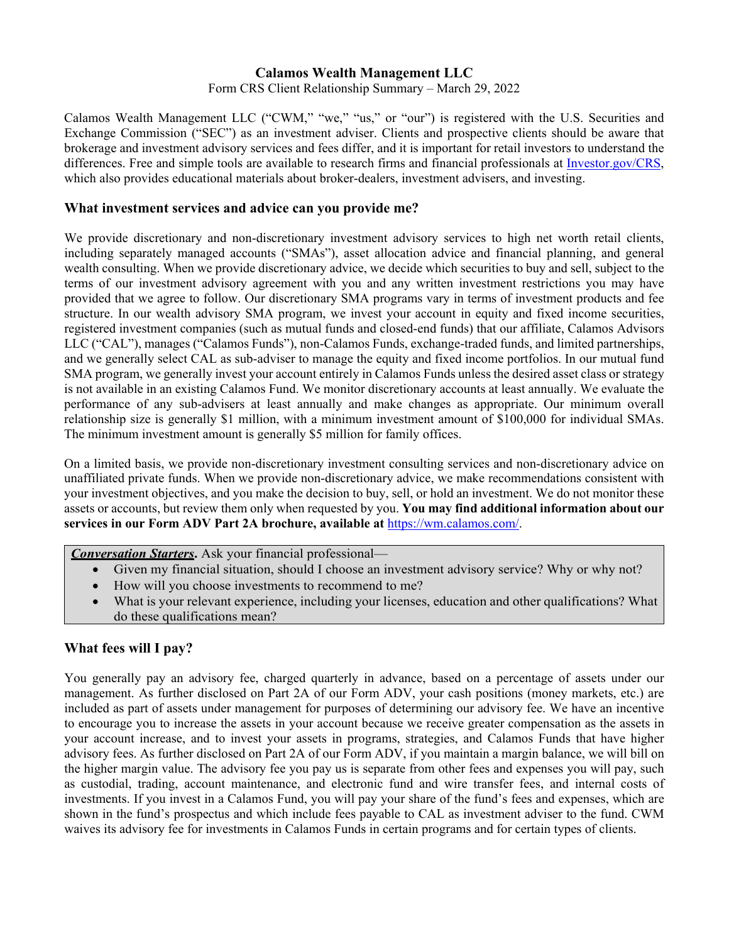# **Calamos Wealth Management LLC**

Form CRS Client Relationship Summary – March 29, 2022

Calamos Wealth Management LLC ("CWM," "we," "us," or "our") is registered with the U.S. Securities and Exchange Commission ("SEC") as an investment adviser. Clients and prospective clients should be aware that brokerage and investment advisory services and fees differ, and it is important for retail investors to understand the differences. Free and simple tools are available to research firms and financial professionals at [Investor.gov/CRS,](file://covcxfs01/zdrives/mp012394.MORGANLEWIS/Investor.gov/CRS) which also provides educational materials about broker-dealers, investment advisers, and investing.

#### **What investment services and advice can you provide me?**

We provide discretionary and non-discretionary investment advisory services to high net worth retail clients, including separately managed accounts ("SMAs"), asset allocation advice and financial planning, and general wealth consulting. When we provide discretionary advice, we decide which securities to buy and sell, subject to the terms of our investment advisory agreement with you and any written investment restrictions you may have provided that we agree to follow. Our discretionary SMA programs vary in terms of investment products and fee structure. In our wealth advisory SMA program, we invest your account in equity and fixed income securities, registered investment companies (such as mutual funds and closed-end funds) that our affiliate, Calamos Advisors LLC ("CAL"), manages ("Calamos Funds"), non-Calamos Funds, exchange-traded funds, and limited partnerships, and we generally select CAL as sub-adviser to manage the equity and fixed income portfolios. In our mutual fund SMA program, we generally invest your account entirely in Calamos Funds unless the desired asset class or strategy is not available in an existing Calamos Fund. We monitor discretionary accounts at least annually. We evaluate the performance of any sub-advisers at least annually and make changes as appropriate. Our minimum overall relationship size is generally \$1 million, with a minimum investment amount of \$100,000 for individual SMAs. The minimum investment amount is generally \$5 million for family offices.

On a limited basis, we provide non-discretionary investment consulting services and non-discretionary advice on unaffiliated private funds. When we provide non-discretionary advice, we make recommendations consistent with your investment objectives, and you make the decision to buy, sell, or hold an investment. We do not monitor these assets or accounts, but review them only when requested by you. **You may find additional information about our services in our Form ADV Part 2A brochure, available at** [https://wm.calamos.com/.](https://wm.calamos.com/)

*Conversation Starters***.** Ask your financial professional—

- Given my financial situation, should I choose an investment advisory service? Why or why not?
- How will you choose investments to recommend to me?
- What is your relevant experience, including your licenses, education and other qualifications? What do these qualifications mean?

### **What fees will I pay?**

You generally pay an advisory fee, charged quarterly in advance, based on a percentage of assets under our management. As further disclosed on Part 2A of our Form ADV, your cash positions (money markets, etc.) are included as part of assets under management for purposes of determining our advisory fee. We have an incentive to encourage you to increase the assets in your account because we receive greater compensation as the assets in your account increase, and to invest your assets in programs, strategies, and Calamos Funds that have higher advisory fees. As further disclosed on Part 2A of our Form ADV, if you maintain a margin balance, we will bill on the higher margin value. The advisory fee you pay us is separate from other fees and expenses you will pay, such as custodial, trading, account maintenance, and electronic fund and wire transfer fees, and internal costs of investments. If you invest in a Calamos Fund, you will pay your share of the fund's fees and expenses, which are shown in the fund's prospectus and which include fees payable to CAL as investment adviser to the fund. CWM waives its advisory fee for investments in Calamos Funds in certain programs and for certain types of clients.